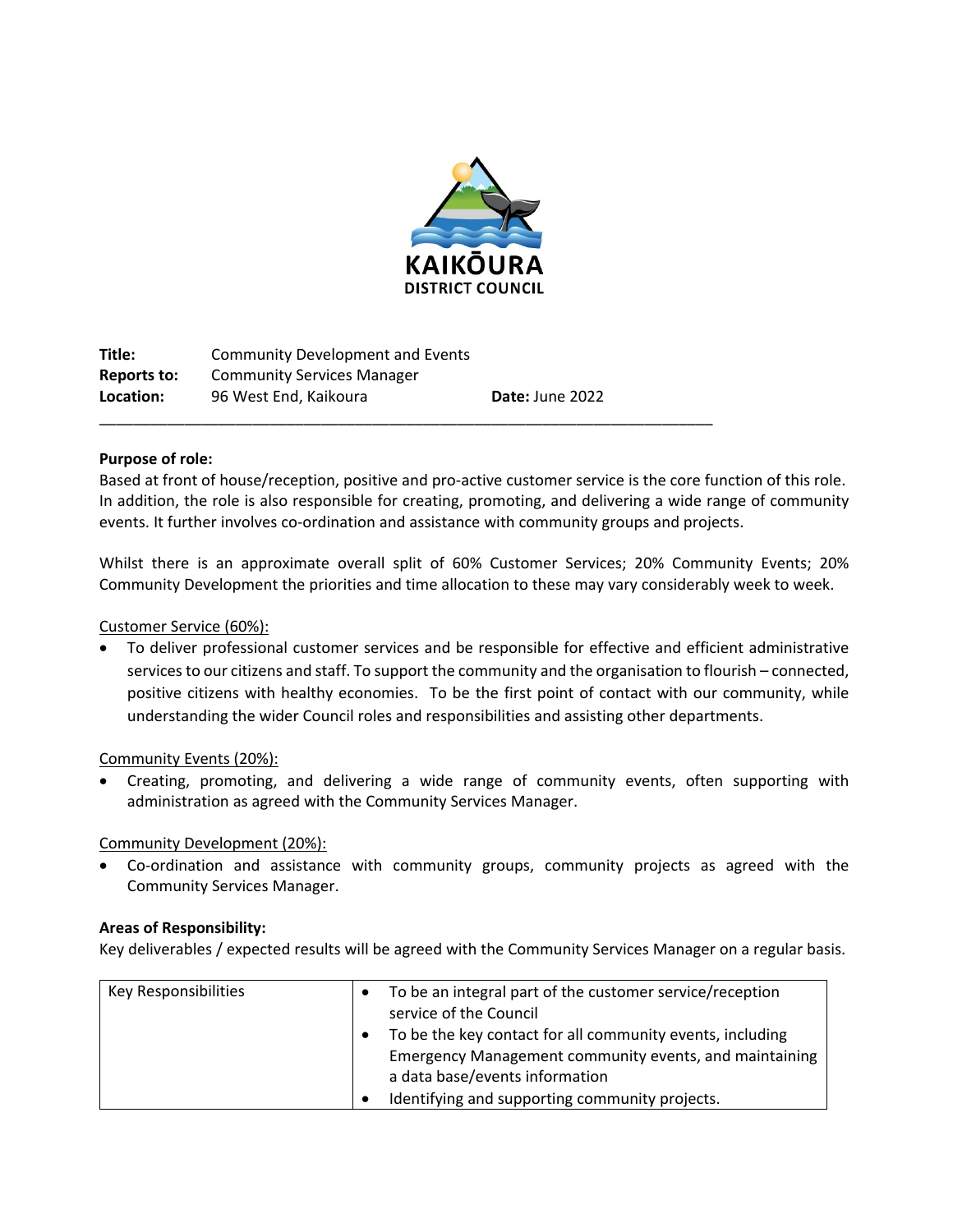

| Title:      | Community Development and Events  |                 |
|-------------|-----------------------------------|-----------------|
| Reports to: | <b>Community Services Manager</b> |                 |
| Location:   | 96 West End. Kaikoura             | Date: June 2022 |
|             |                                   |                 |

### **Purpose of role:**

Based at front of house/reception, positive and pro-active customer service is the core function of this role. In addition, the role is also responsible for creating, promoting, and delivering a wide range of community events. It further involves co-ordination and assistance with community groups and projects.

Whilst there is an approximate overall split of 60% Customer Services; 20% Community Events; 20% Community Development the priorities and time allocation to these may vary considerably week to week.

### Customer Service (60%):

 To deliver professional customer services and be responsible for effective and efficient administrative services to our citizens and staff. To support the community and the organisation to flourish – connected, positive citizens with healthy economies. To be the first point of contact with our community, while understanding the wider Council roles and responsibilities and assisting other departments.

### Community Events (20%):

 Creating, promoting, and delivering a wide range of community events, often supporting with administration as agreed with the Community Services Manager.

### Community Development (20%):

 Co-ordination and assistance with community groups, community projects as agreed with the Community Services Manager.

### **Areas of Responsibility:**

Key deliverables / expected results will be agreed with the Community Services Manager on a regular basis.

| <b>Key Responsibilities</b> | To be an integral part of the customer service/reception<br>service of the Council |
|-----------------------------|------------------------------------------------------------------------------------|
|                             | To be the key contact for all community events, including                          |
|                             | Emergency Management community events, and maintaining                             |
|                             | a data base/events information                                                     |
|                             | Identifying and supporting community projects.                                     |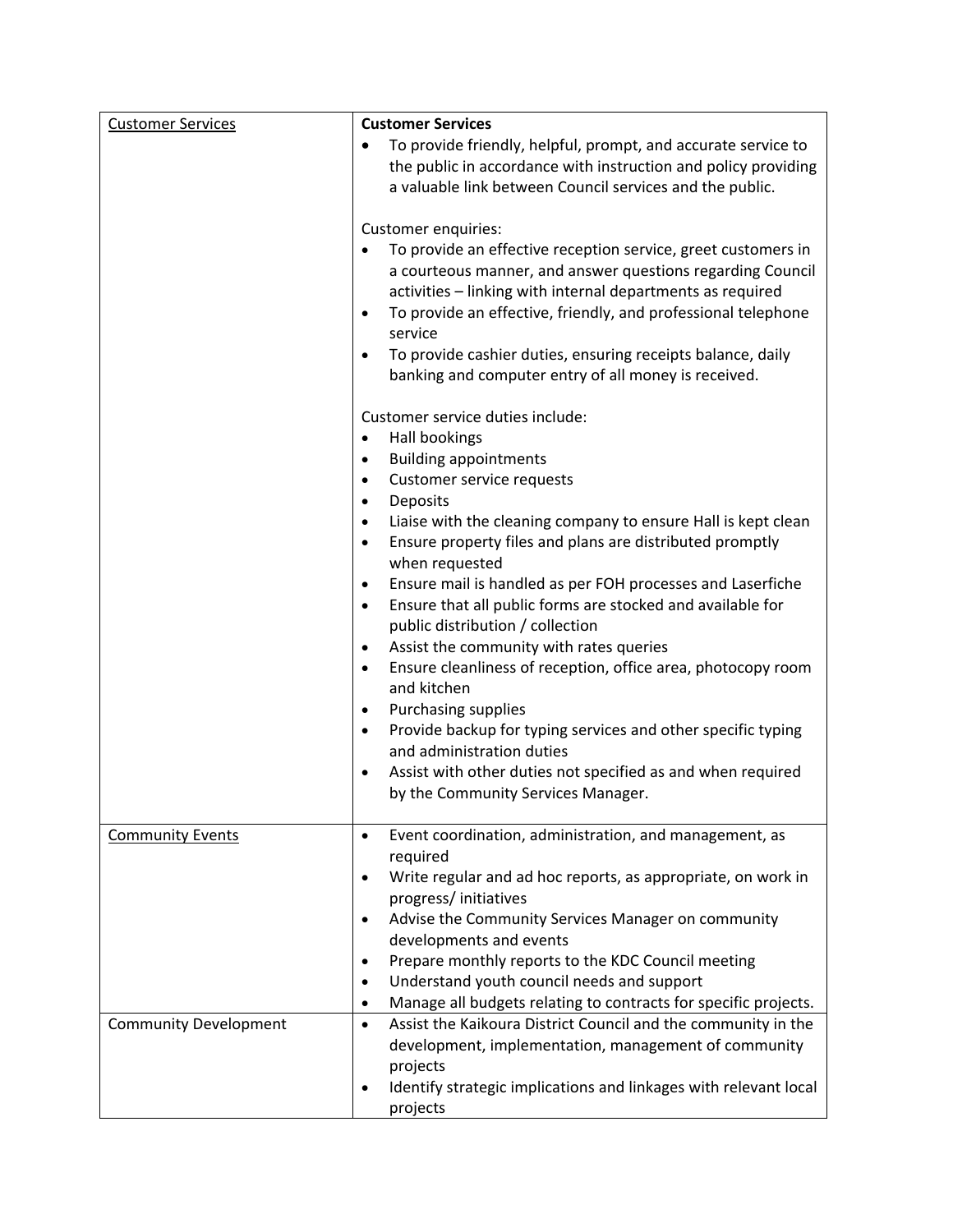| <b>Customer Services</b>     | <b>Customer Services</b>                                                                                                                                                                                                                                                                                                                                                                                                                                                                                                                                                                                                                                                                                                                                                                                                                                                                                                              |
|------------------------------|---------------------------------------------------------------------------------------------------------------------------------------------------------------------------------------------------------------------------------------------------------------------------------------------------------------------------------------------------------------------------------------------------------------------------------------------------------------------------------------------------------------------------------------------------------------------------------------------------------------------------------------------------------------------------------------------------------------------------------------------------------------------------------------------------------------------------------------------------------------------------------------------------------------------------------------|
|                              | To provide friendly, helpful, prompt, and accurate service to<br>$\bullet$<br>the public in accordance with instruction and policy providing<br>a valuable link between Council services and the public.                                                                                                                                                                                                                                                                                                                                                                                                                                                                                                                                                                                                                                                                                                                              |
|                              | Customer enquiries:<br>To provide an effective reception service, greet customers in<br>a courteous manner, and answer questions regarding Council<br>activities - linking with internal departments as required<br>To provide an effective, friendly, and professional telephone<br>$\bullet$<br>service<br>To provide cashier duties, ensuring receipts balance, daily<br>$\bullet$<br>banking and computer entry of all money is received.                                                                                                                                                                                                                                                                                                                                                                                                                                                                                         |
|                              | Customer service duties include:<br>Hall bookings<br>$\bullet$<br><b>Building appointments</b><br>$\bullet$<br>Customer service requests<br>$\bullet$<br>Deposits<br>٠<br>Liaise with the cleaning company to ensure Hall is kept clean<br>٠<br>Ensure property files and plans are distributed promptly<br>$\bullet$<br>when requested<br>Ensure mail is handled as per FOH processes and Laserfiche<br>$\bullet$<br>Ensure that all public forms are stocked and available for<br>$\bullet$<br>public distribution / collection<br>Assist the community with rates queries<br>$\bullet$<br>Ensure cleanliness of reception, office area, photocopy room<br>$\bullet$<br>and kitchen<br>Purchasing supplies<br>٠<br>Provide backup for typing services and other specific typing<br>$\bullet$<br>and administration duties<br>Assist with other duties not specified as and when required<br>٠<br>by the Community Services Manager. |
| <b>Community Events</b>      | Event coordination, administration, and management, as<br>$\bullet$<br>required<br>Write regular and ad hoc reports, as appropriate, on work in<br>٠<br>progress/initiatives<br>Advise the Community Services Manager on community<br>$\bullet$<br>developments and events<br>Prepare monthly reports to the KDC Council meeting<br>٠<br>Understand youth council needs and support<br>$\bullet$<br>Manage all budgets relating to contracts for specific projects.<br>$\bullet$                                                                                                                                                                                                                                                                                                                                                                                                                                                      |
| <b>Community Development</b> | Assist the Kaikoura District Council and the community in the<br>$\bullet$<br>development, implementation, management of community<br>projects<br>Identify strategic implications and linkages with relevant local<br>٠<br>projects                                                                                                                                                                                                                                                                                                                                                                                                                                                                                                                                                                                                                                                                                                   |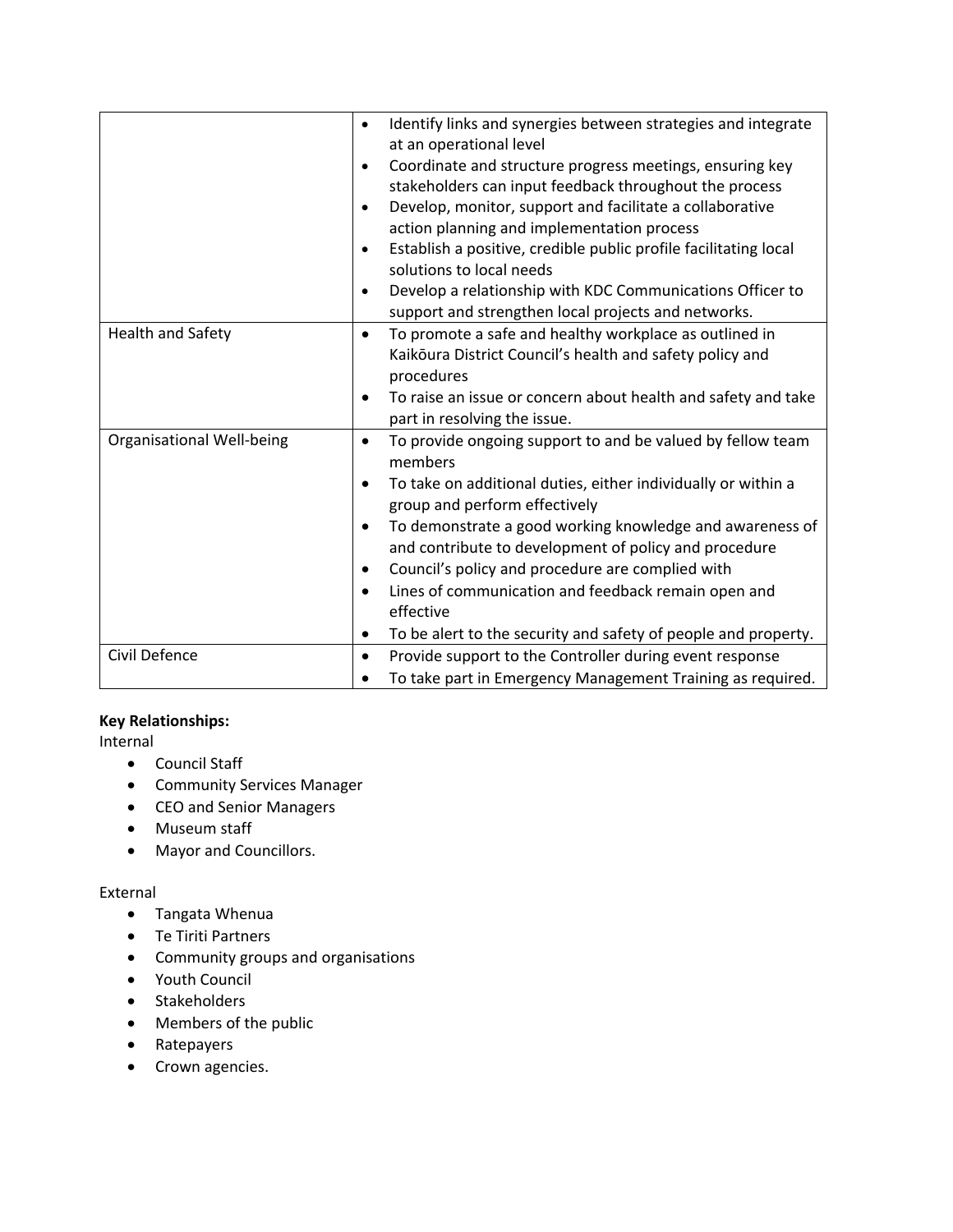|                                  | Identify links and synergies between strategies and integrate<br>$\bullet$<br>at an operational level<br>Coordinate and structure progress meetings, ensuring key<br>$\bullet$<br>stakeholders can input feedback throughout the process<br>Develop, monitor, support and facilitate a collaborative<br>$\bullet$<br>action planning and implementation process<br>Establish a positive, credible public profile facilitating local<br>$\bullet$<br>solutions to local needs<br>Develop a relationship with KDC Communications Officer to<br>$\bullet$<br>support and strengthen local projects and networks. |
|----------------------------------|---------------------------------------------------------------------------------------------------------------------------------------------------------------------------------------------------------------------------------------------------------------------------------------------------------------------------------------------------------------------------------------------------------------------------------------------------------------------------------------------------------------------------------------------------------------------------------------------------------------|
| <b>Health and Safety</b>         | To promote a safe and healthy workplace as outlined in<br>$\bullet$<br>Kaikoura District Council's health and safety policy and<br>procedures<br>To raise an issue or concern about health and safety and take<br>$\bullet$<br>part in resolving the issue.                                                                                                                                                                                                                                                                                                                                                   |
| <b>Organisational Well-being</b> | To provide ongoing support to and be valued by fellow team<br>٠<br>members<br>To take on additional duties, either individually or within a<br>$\bullet$<br>group and perform effectively<br>To demonstrate a good working knowledge and awareness of<br>٠<br>and contribute to development of policy and procedure<br>Council's policy and procedure are complied with<br>$\bullet$<br>Lines of communication and feedback remain open and<br>$\bullet$<br>effective<br>To be alert to the security and safety of people and property.<br>٠                                                                  |
| Civil Defence                    | Provide support to the Controller during event response<br>٠<br>To take part in Emergency Management Training as required.                                                                                                                                                                                                                                                                                                                                                                                                                                                                                    |

## **Key Relationships:**

Internal

- Council Staff
- Community Services Manager
- CEO and Senior Managers
- Museum staff
- Mayor and Councillors.

## External

- Tangata Whenua
- Te Tiriti Partners
- Community groups and organisations
- Youth Council
- Stakeholders
- Members of the public
- Ratepayers
- Crown agencies.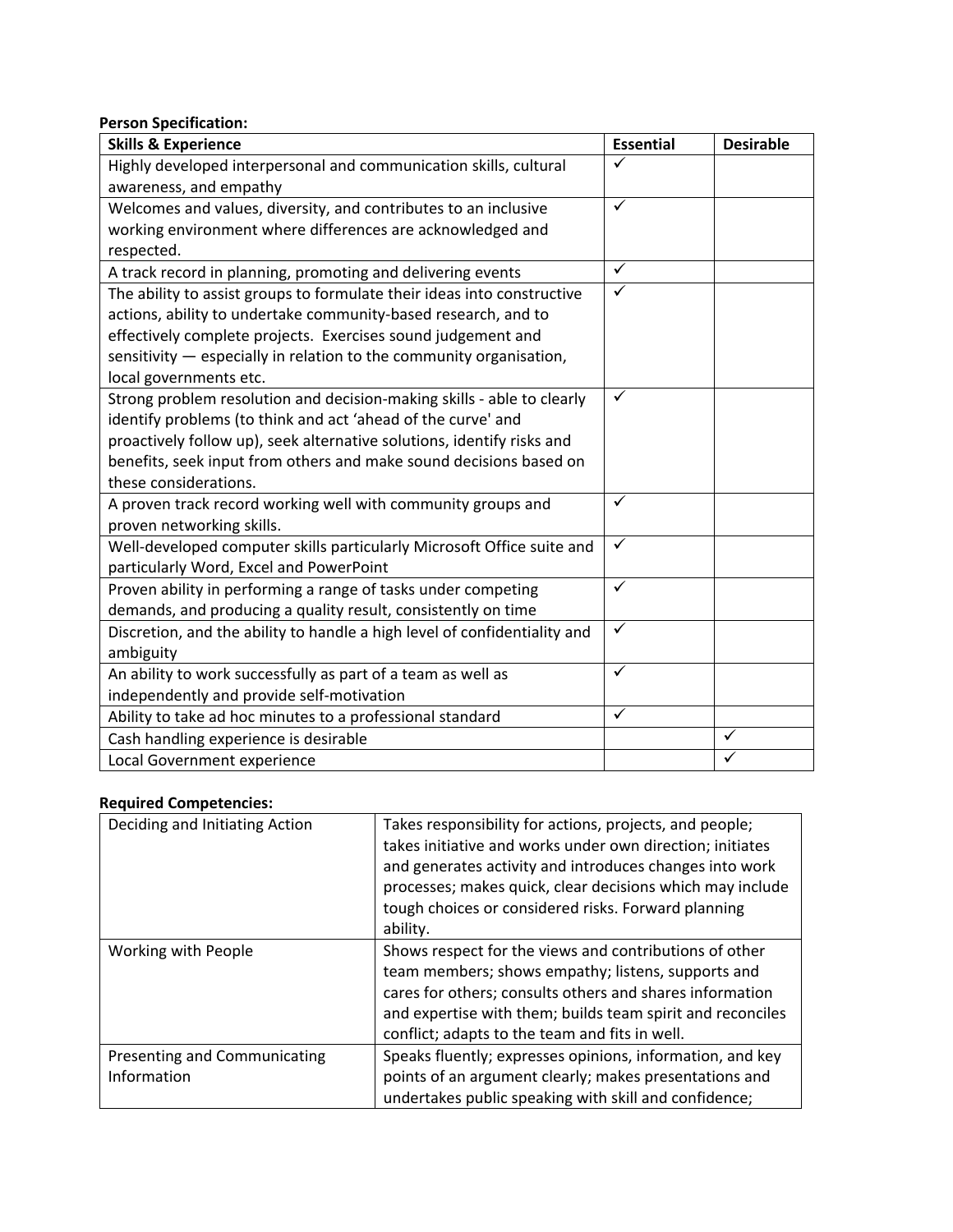# **Person Specification:**

| <b>Skills &amp; Experience</b>                                            | <b>Essential</b> | <b>Desirable</b> |
|---------------------------------------------------------------------------|------------------|------------------|
| Highly developed interpersonal and communication skills, cultural         | ✓                |                  |
| awareness, and empathy                                                    |                  |                  |
| Welcomes and values, diversity, and contributes to an inclusive           | $\checkmark$     |                  |
| working environment where differences are acknowledged and                |                  |                  |
| respected.                                                                |                  |                  |
| A track record in planning, promoting and delivering events               | $\checkmark$     |                  |
| The ability to assist groups to formulate their ideas into constructive   | $\checkmark$     |                  |
| actions, ability to undertake community-based research, and to            |                  |                  |
| effectively complete projects. Exercises sound judgement and              |                  |                  |
| sensitivity - especially in relation to the community organisation,       |                  |                  |
| local governments etc.                                                    |                  |                  |
| Strong problem resolution and decision-making skills - able to clearly    | ✓                |                  |
| identify problems (to think and act 'ahead of the curve' and              |                  |                  |
| proactively follow up), seek alternative solutions, identify risks and    |                  |                  |
| benefits, seek input from others and make sound decisions based on        |                  |                  |
| these considerations.                                                     |                  |                  |
| A proven track record working well with community groups and              | ✓                |                  |
| proven networking skills.                                                 |                  |                  |
| Well-developed computer skills particularly Microsoft Office suite and    | $\checkmark$     |                  |
| particularly Word, Excel and PowerPoint                                   |                  |                  |
| Proven ability in performing a range of tasks under competing             | ✓                |                  |
| demands, and producing a quality result, consistently on time             |                  |                  |
| Discretion, and the ability to handle a high level of confidentiality and | $\checkmark$     |                  |
| ambiguity                                                                 |                  |                  |
| An ability to work successfully as part of a team as well as              | ✓                |                  |
| independently and provide self-motivation                                 |                  |                  |
| Ability to take ad hoc minutes to a professional standard                 | $\checkmark$     |                  |
| Cash handling experience is desirable                                     |                  | ✓                |
| Local Government experience                                               |                  |                  |

### **Required Competencies:**

| Deciding and Initiating Action                     | Takes responsibility for actions, projects, and people;<br>takes initiative and works under own direction; initiates<br>and generates activity and introduces changes into work<br>processes; makes quick, clear decisions which may include<br>tough choices or considered risks. Forward planning<br>ability. |
|----------------------------------------------------|-----------------------------------------------------------------------------------------------------------------------------------------------------------------------------------------------------------------------------------------------------------------------------------------------------------------|
| Working with People                                | Shows respect for the views and contributions of other<br>team members; shows empathy; listens, supports and<br>cares for others; consults others and shares information<br>and expertise with them; builds team spirit and reconciles<br>conflict; adapts to the team and fits in well.                        |
| <b>Presenting and Communicating</b><br>Information | Speaks fluently; expresses opinions, information, and key<br>points of an argument clearly; makes presentations and<br>undertakes public speaking with skill and confidence;                                                                                                                                    |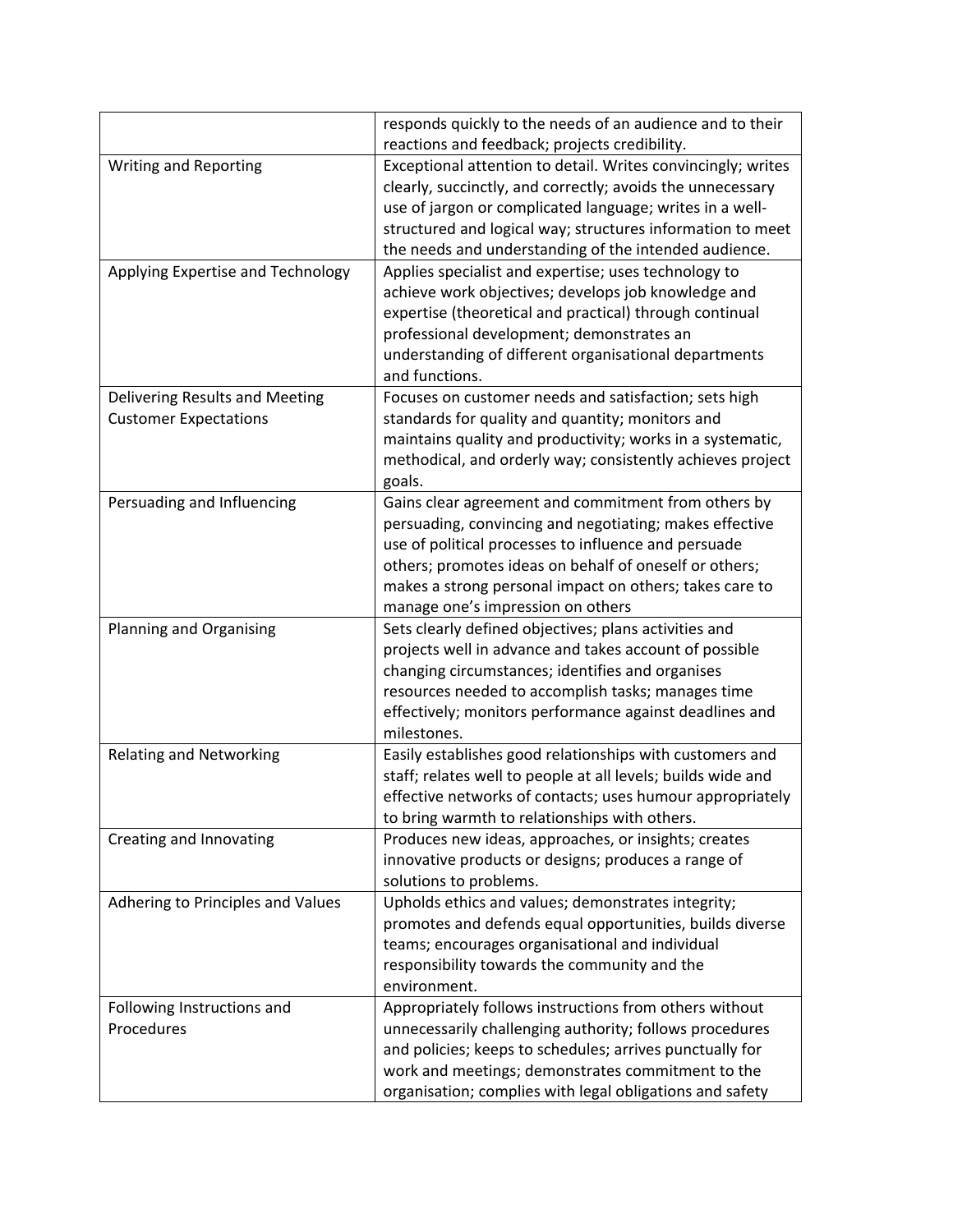|                                   | responds quickly to the needs of an audience and to their    |
|-----------------------------------|--------------------------------------------------------------|
|                                   | reactions and feedback; projects credibility.                |
| Writing and Reporting             | Exceptional attention to detail. Writes convincingly; writes |
|                                   | clearly, succinctly, and correctly; avoids the unnecessary   |
|                                   | use of jargon or complicated language; writes in a well-     |
|                                   | structured and logical way; structures information to meet   |
|                                   | the needs and understanding of the intended audience.        |
| Applying Expertise and Technology | Applies specialist and expertise; uses technology to         |
|                                   | achieve work objectives; develops job knowledge and          |
|                                   | expertise (theoretical and practical) through continual      |
|                                   | professional development; demonstrates an                    |
|                                   | understanding of different organisational departments        |
|                                   | and functions.                                               |
| Delivering Results and Meeting    | Focuses on customer needs and satisfaction; sets high        |
| <b>Customer Expectations</b>      | standards for quality and quantity; monitors and             |
|                                   | maintains quality and productivity; works in a systematic,   |
|                                   | methodical, and orderly way; consistently achieves project   |
|                                   | goals.                                                       |
| Persuading and Influencing        | Gains clear agreement and commitment from others by          |
|                                   | persuading, convincing and negotiating; makes effective      |
|                                   | use of political processes to influence and persuade         |
|                                   | others; promotes ideas on behalf of oneself or others;       |
|                                   | makes a strong personal impact on others; takes care to      |
|                                   | manage one's impression on others                            |
| Planning and Organising           | Sets clearly defined objectives; plans activities and        |
|                                   | projects well in advance and takes account of possible       |
|                                   | changing circumstances; identifies and organises             |
|                                   | resources needed to accomplish tasks; manages time           |
|                                   | effectively; monitors performance against deadlines and      |
|                                   | milestones.                                                  |
| <b>Relating and Networking</b>    | Easily establishes good relationships with customers and     |
|                                   | staff; relates well to people at all levels; builds wide and |
|                                   | effective networks of contacts; uses humour appropriately    |
|                                   | to bring warmth to relationships with others.                |
| Creating and Innovating           | Produces new ideas, approaches, or insights; creates         |
|                                   | innovative products or designs; produces a range of          |
|                                   | solutions to problems.                                       |
| Adhering to Principles and Values | Upholds ethics and values; demonstrates integrity;           |
|                                   | promotes and defends equal opportunities, builds diverse     |
|                                   | teams; encourages organisational and individual              |
|                                   | responsibility towards the community and the                 |
|                                   | environment.                                                 |
| Following Instructions and        | Appropriately follows instructions from others without       |
| Procedures                        | unnecessarily challenging authority; follows procedures      |
|                                   | and policies; keeps to schedules; arrives punctually for     |
|                                   | work and meetings; demonstrates commitment to the            |
|                                   | organisation; complies with legal obligations and safety     |